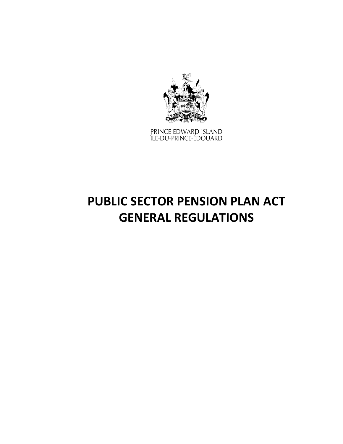

PRINCE EDWARD ISLAND<br>ÎLE-DU-PRINCE-ÉDOUARD

# **PUBLIC SECTOR PENSION PLAN ACT GENERAL REGULATIONS**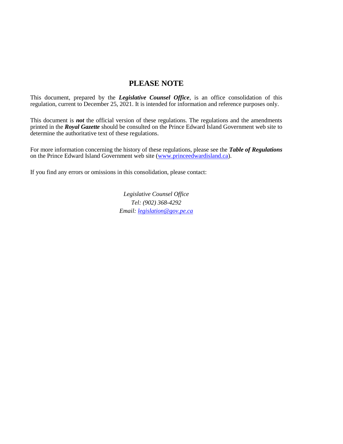## **PLEASE NOTE**

This document, prepared by the *[Legislative Counsel Office](http://www.gov.pe.ca/jps/index.php3?number=1027247)*, is an office consolidation of this regulation, current to December 25, 2021. It is intended for information and reference purposes only.

This document is *not* the official version of these regulations. The regulations and the amendments printed in the *Royal Gazette* should be consulted on the Prince Edward Island Government web site to determine the authoritative text of these regulations.

For more information concerning the history of these regulations, please see the *[Table of Regulations](https://www.princeedwardisland.ca/sites/default/files/publications/leg_table_acts.pdf)* on the Prince Edward Island Government web site [\(www.princeedwardisland.ca\)](http://www.princeedwardisland.ca/).

If you find any errors or omissions in this consolidation, please contact:

*Legislative Counsel Office Tel: (902) 368-4292 Email: [legislation@gov.pe.ca](mailto:legislation@gov.pe.ca)*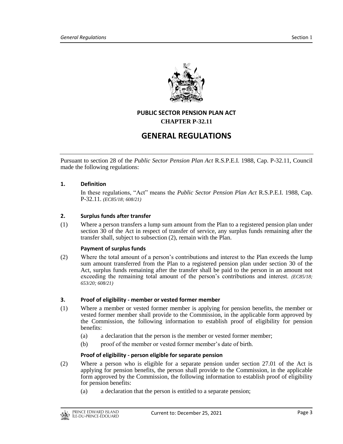

### **PUBLIC SECTOR PENSION PLAN ACT CHAPTER P-32.11**

# **GENERAL REGULATIONS**

Pursuant to section 28 of the *Public Sector Pension Plan Act* R.S.P.E.I. 1988, Cap. P-32.11, Council made the following regulations:

#### **1. Definition**

In these regulations, "Act" means the *Public Sector Pension Plan Act* R.S.P.E.I. 1988, Cap. P-32.11. *(EC85/18; 608/21)*

#### **2. Surplus funds after transfer**

(1) Where a person transfers a lump sum amount from the Plan to a registered pension plan under section 30 of the Act in respect of transfer of service, any surplus funds remaining after the transfer shall, subject to subsection (2), remain with the Plan.

#### **Payment of surplus funds**

(2) Where the total amount of a person's contributions and interest to the Plan exceeds the lump sum amount transferred from the Plan to a registered pension plan under section 30 of the Act, surplus funds remaining after the transfer shall be paid to the person in an amount not exceeding the remaining total amount of the person's contributions and interest. *(EC85/18; 653/20; 608/21)*

#### **3. Proof of eligibility - member or vested former member**

- (1) Where a member or vested former member is applying for pension benefits, the member or vested former member shall provide to the Commission, in the applicable form approved by the Commission, the following information to establish proof of eligibility for pension benefits:
	- (a) a declaration that the person is the member or vested former member;
	- (b) proof of the member or vested former member's date of birth.

#### **Proof of eligibility - person eligible for separate pension**

- (2) Where a person who is eligible for a separate pension under section 27.01 of the Act is applying for pension benefits, the person shall provide to the Commission, in the applicable form approved by the Commission, the following information to establish proof of eligibility for pension benefits:
	- (a) a declaration that the person is entitled to a separate pension;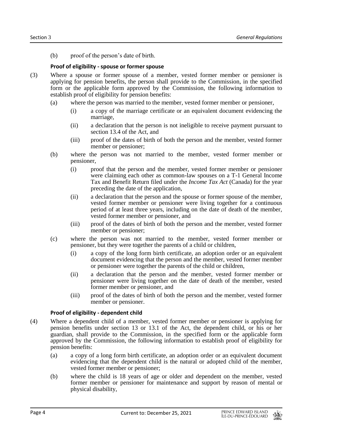(b) proof of the person's date of birth.

#### **Proof of eligibility - spouse or former spouse**

- (3) Where a spouse or former spouse of a member, vested former member or pensioner is applying for pension benefits, the person shall provide to the Commission, in the specified form or the applicable form approved by the Commission, the following information to establish proof of eligibility for pension benefits:
	- (a) where the person was married to the member, vested former member or pensioner,
		- (i) a copy of the marriage certificate or an equivalent document evidencing the marriage,
		- (ii) a declaration that the person is not ineligible to receive payment pursuant to section 13.4 of the Act, and
		- (iii) proof of the dates of birth of both the person and the member, vested former member or pensioner;
	- (b) where the person was not married to the member, vested former member or pensioner,
		- (i) proof that the person and the member, vested former member or pensioner were claiming each other as common-law spouses on a T-1 General Income Tax and Benefit Return filed under the *Income Tax Act* (Canada) for the year preceding the date of the application,
		- (ii) a declaration that the person and the spouse or former spouse of the member, vested former member or pensioner were living together for a continuous period of at least three years, including on the date of death of the member, vested former member or pensioner, and
		- (iii) proof of the dates of birth of both the person and the member, vested former member or pensioner;
	- (c) where the person was not married to the member, vested former member or pensioner, but they were together the parents of a child or children,
		- (i) a copy of the long form birth certificate, an adoption order or an equivalent document evidencing that the person and the member, vested former member or pensioner were together the parents of the child or children,
		- (ii) a declaration that the person and the member, vested former member or pensioner were living together on the date of death of the member, vested former member or pensioner, and
		- (iii) proof of the dates of birth of both the person and the member, vested former member or pensioner.

#### **Proof of eligibility - dependent child**

- (4) Where a dependent child of a member, vested former member or pensioner is applying for pension benefits under section 13 or 13.1 of the Act, the dependent child, or his or her guardian, shall provide to the Commission, in the specified form or the applicable form approved by the Commission, the following information to establish proof of eligibility for pension benefits:
	- (a) a copy of a long form birth certificate, an adoption order or an equivalent document evidencing that the dependent child is the natural or adopted child of the member, vested former member or pensioner;
	- (b) where the child is 18 years of age or older and dependent on the member, vested former member or pensioner for maintenance and support by reason of mental or physical disability,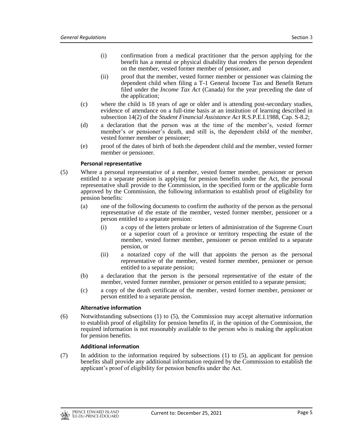- (i) confirmation from a medical practitioner that the person applying for the benefit has a mental or physical disability that renders the person dependent on the member, vested former member of pensioner, and
- (ii) proof that the member, vested former member or pensioner was claiming the dependent child when filing a T-1 General Income Tax and Benefit Return filed under the *Income Tax Act* (Canada) for the year preceding the date of the application;
- (c) where the child is 18 years of age or older and is attending post-secondary studies, evidence of attendance on a full-time basis at an institution of learning described in subsection 14(2) of the *Student Financial Assistance Act* R.S.P.E.I.1988, Cap. S-8.2;
- (d) a declaration that the person was at the time of the member's, vested former member's or pensioner's death, and still is, the dependent child of the member, vested former member or pensioner;
- (e) proof of the dates of birth of both the dependent child and the member, vested former member or pensioner.

#### **Personal representative**

- (5) Where a personal representative of a member, vested former member, pensioner or person entitled to a separate pension is applying for pension benefits under the Act, the personal representative shall provide to the Commission, in the specified form or the applicable form approved by the Commission, the following information to establish proof of eligibility for pension benefits:
	- (a) one of the following documents to confirm the authority of the person as the personal representative of the estate of the member, vested former member, pensioner or a person entitled to a separate pension:
		- (i) a copy of the letters probate or letters of administration of the Supreme Court or a superior court of a province or territory respecting the estate of the member, vested former member, pensioner or person entitled to a separate pension, or
		- (ii) a notarized copy of the will that appoints the person as the personal representative of the member, vested former member, pensioner or person entitled to a separate pension;
	- (b) a declaration that the person is the personal representative of the estate of the member, vested former member, pensioner or person entitled to a separate pension;
	- (c) a copy of the death certificate of the member, vested former member, pensioner or person entitled to a separate pension.

#### **Alternative information**

(6) Notwithstanding subsections (1) to (5), the Commission may accept alternative information to establish proof of eligibility for pension benefits if, in the opinion of the Commission, the required information is not reasonably available to the person who is making the application for pension benefits.

#### **Additional information**

(7) In addition to the information required by subsections (1) to (5), an applicant for pension benefits shall provide any additional information required by the Commission to establish the applicant's proof of eligibility for pension benefits under the Act.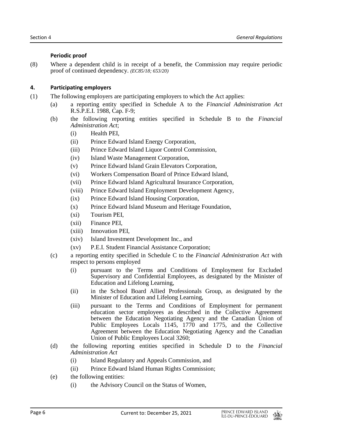#### **Periodic proof**

(8) Where a dependent child is in receipt of a benefit, the Commission may require periodic proof of continued dependency. *(EC85/18; 653/20)*

#### **4. Participating employers**

- (1) The following employers are participating employers to which the Act applies:
	- (a) a reporting entity specified in Schedule A to the *Financial Administration Act* R.S.P.E.I. 1988, Cap. F-9;
	- (b) the following reporting entities specified in Schedule B to the *Financial Administration Act*;
		- (i) Health PEI,
		- (ii) Prince Edward Island Energy Corporation,
		- (iii) Prince Edward Island Liquor Control Commission,
		- (iv) Island Waste Management Corporation,
		- (v) Prince Edward Island Grain Elevators Corporation,
		- (vi) Workers Compensation Board of Prince Edward Island,
		- (vii) Prince Edward Island Agricultural Insurance Corporation,
		- (viii) Prince Edward Island Employment Development Agency,
		- (ix) Prince Edward Island Housing Corporation,
		- (x) Prince Edward Island Museum and Heritage Foundation,
		- (xi) Tourism PEI,
		- (xii) Finance PEI,
		- (xiii) Innovation PEI,
		- (xiv) Island Investment Development Inc., and
		- (xv) P.E.I. Student Financial Assistance Corporation;
	- (c) a reporting entity specified in Schedule C to the *Financial Administration Act* with respect to persons employed
		- (i) pursuant to the Terms and Conditions of Employment for Excluded Supervisory and Confidential Employees, as designated by the Minister of Education and Lifelong Learning,
		- (ii) in the School Board Allied Professionals Group, as designated by the Minister of Education and Lifelong Learning,
		- (iii) pursuant to the Terms and Conditions of Employment for permanent education sector employees as described in the Collective Agreement between the Education Negotiating Agency and the Canadian Union of Public Employees Locals 1145, 1770 and 1775, and the Collective Agreement between the Education Negotiating Agency and the Canadian Union of Public Employees Local 3260;
	- (d) the following reporting entities specified in Schedule D to the *Financial Administration Act*
		- (i) Island Regulatory and Appeals Commission, and
		- (ii) Prince Edward Island Human Rights Commission;
	- (e) the following entities:
		- (i) the Advisory Council on the Status of Women,